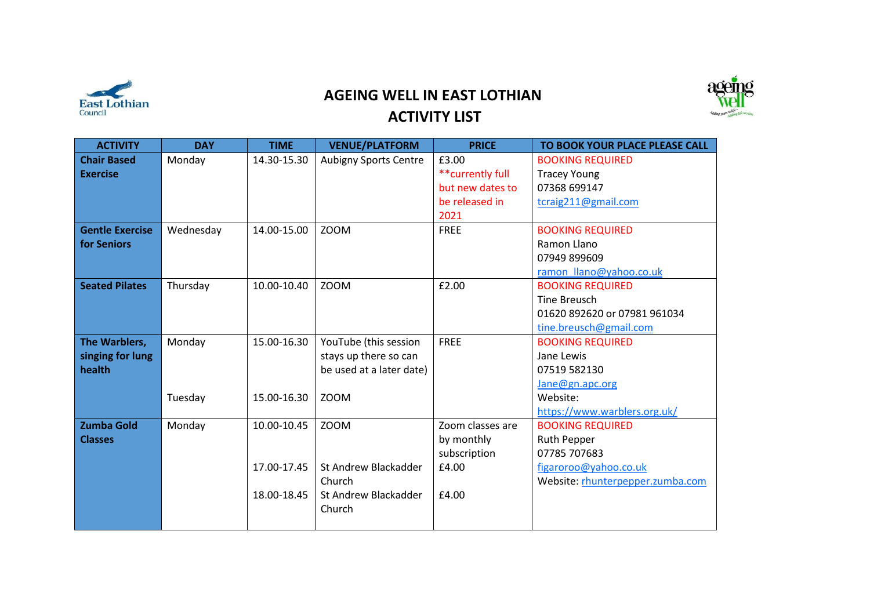

## **AGEING WELL IN EAST LOTHIAN ACTIVITY LIST**



| <b>ACTIVITY</b>        | <b>DAY</b> | <b>TIME</b> | <b>VENUE/PLATFORM</b>        | <b>PRICE</b>      | TO BOOK YOUR PLACE PLEASE CALL   |
|------------------------|------------|-------------|------------------------------|-------------------|----------------------------------|
| <b>Chair Based</b>     | Monday     | 14.30-15.30 | <b>Aubigny Sports Centre</b> | £3.00             | <b>BOOKING REQUIRED</b>          |
| <b>Exercise</b>        |            |             |                              | ** currently full | <b>Tracey Young</b>              |
|                        |            |             |                              | but new dates to  | 07368 699147                     |
|                        |            |             |                              | be released in    | tcraig211@gmail.com              |
|                        |            |             |                              | 2021              |                                  |
| <b>Gentle Exercise</b> | Wednesday  | 14.00-15.00 | <b>ZOOM</b>                  | <b>FREE</b>       | <b>BOOKING REQUIRED</b>          |
| for Seniors            |            |             |                              |                   | Ramon Llano                      |
|                        |            |             |                              |                   | 07949 899609                     |
|                        |            |             |                              |                   | ramon_llano@yahoo.co.uk          |
| <b>Seated Pilates</b>  | Thursday   | 10.00-10.40 | <b>ZOOM</b>                  | £2.00             | <b>BOOKING REQUIRED</b>          |
|                        |            |             |                              |                   | <b>Tine Breusch</b>              |
|                        |            |             |                              |                   | 01620 892620 or 07981 961034     |
|                        |            |             |                              |                   | tine.breusch@gmail.com           |
| The Warblers,          | Monday     | 15.00-16.30 | YouTube (this session        | <b>FREE</b>       | <b>BOOKING REQUIRED</b>          |
| singing for lung       |            |             | stays up there so can        |                   | Jane Lewis                       |
| health                 |            |             | be used at a later date)     |                   | 07519 582130                     |
|                        |            |             |                              |                   | Jane@gn.apc.org                  |
|                        | Tuesday    | 15.00-16.30 | <b>ZOOM</b>                  |                   | Website:                         |
|                        |            |             |                              |                   | https://www.warblers.org.uk/     |
| <b>Zumba Gold</b>      | Monday     | 10.00-10.45 | <b>ZOOM</b>                  | Zoom classes are  | <b>BOOKING REQUIRED</b>          |
| <b>Classes</b>         |            |             |                              | by monthly        | <b>Ruth Pepper</b>               |
|                        |            |             |                              | subscription      | 07785 707683                     |
|                        |            | 17.00-17.45 | St Andrew Blackadder         | £4.00             | figaroroo@yahoo.co.uk            |
|                        |            |             | Church                       |                   | Website: rhunterpepper.zumba.com |
|                        |            | 18.00-18.45 | St Andrew Blackadder         | £4.00             |                                  |
|                        |            |             | Church                       |                   |                                  |
|                        |            |             |                              |                   |                                  |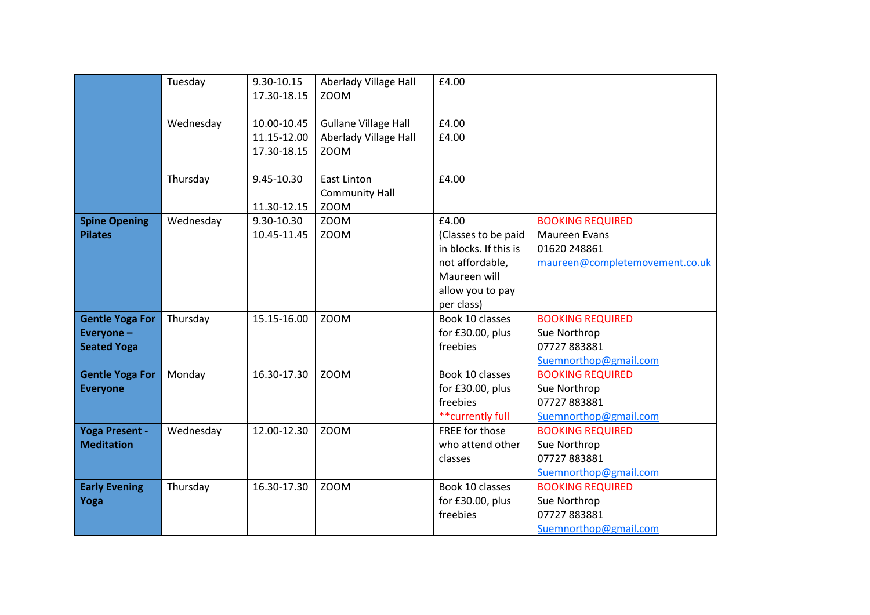|                        | Tuesday   | 9.30-10.15  | Aberlady Village Hall       | £4.00                 |                                |
|------------------------|-----------|-------------|-----------------------------|-----------------------|--------------------------------|
|                        |           | 17.30-18.15 | <b>ZOOM</b>                 |                       |                                |
|                        |           |             |                             |                       |                                |
|                        | Wednesday | 10.00-10.45 | <b>Gullane Village Hall</b> | £4.00                 |                                |
|                        |           | 11.15-12.00 | Aberlady Village Hall       | £4.00                 |                                |
|                        |           | 17.30-18.15 | <b>ZOOM</b>                 |                       |                                |
|                        |           |             |                             |                       |                                |
|                        | Thursday  | 9.45-10.30  | <b>East Linton</b>          | £4.00                 |                                |
|                        |           |             | <b>Community Hall</b>       |                       |                                |
|                        |           | 11.30-12.15 | <b>ZOOM</b>                 |                       |                                |
| <b>Spine Opening</b>   | Wednesday | 9.30-10.30  | <b>ZOOM</b>                 | £4.00                 | <b>BOOKING REQUIRED</b>        |
| <b>Pilates</b>         |           | 10.45-11.45 | <b>ZOOM</b>                 | (Classes to be paid   | Maureen Evans                  |
|                        |           |             |                             | in blocks. If this is | 01620 248861                   |
|                        |           |             |                             | not affordable,       | maureen@completemovement.co.uk |
|                        |           |             |                             | Maureen will          |                                |
|                        |           |             |                             | allow you to pay      |                                |
|                        |           |             |                             | per class)            |                                |
| <b>Gentle Yoga For</b> | Thursday  | 15.15-16.00 | <b>ZOOM</b>                 | Book 10 classes       | <b>BOOKING REQUIRED</b>        |
| Everyone-              |           |             |                             | for £30.00, plus      | Sue Northrop                   |
| <b>Seated Yoga</b>     |           |             |                             | freebies              | 07727883881                    |
|                        |           |             |                             |                       | Suemnorthop@gmail.com          |
| <b>Gentle Yoga For</b> | Monday    | 16.30-17.30 | <b>ZOOM</b>                 | Book 10 classes       | <b>BOOKING REQUIRED</b>        |
| <b>Everyone</b>        |           |             |                             | for £30.00, plus      | Sue Northrop                   |
|                        |           |             |                             | freebies              | 07727883881                    |
|                        |           |             |                             | ** currently full     | Suemnorthop@gmail.com          |
| <b>Yoga Present -</b>  | Wednesday | 12.00-12.30 | <b>ZOOM</b>                 | FREE for those        | <b>BOOKING REQUIRED</b>        |
| <b>Meditation</b>      |           |             |                             | who attend other      | Sue Northrop                   |
|                        |           |             |                             | classes               | 07727883881                    |
|                        |           |             |                             |                       | Suemnorthop@gmail.com          |
| <b>Early Evening</b>   | Thursday  | 16.30-17.30 | <b>ZOOM</b>                 | Book 10 classes       | <b>BOOKING REQUIRED</b>        |
| Yoga                   |           |             |                             | for £30.00, plus      | Sue Northrop                   |
|                        |           |             |                             | freebies              | 07727883881                    |
|                        |           |             |                             |                       | Suemnorthop@gmail.com          |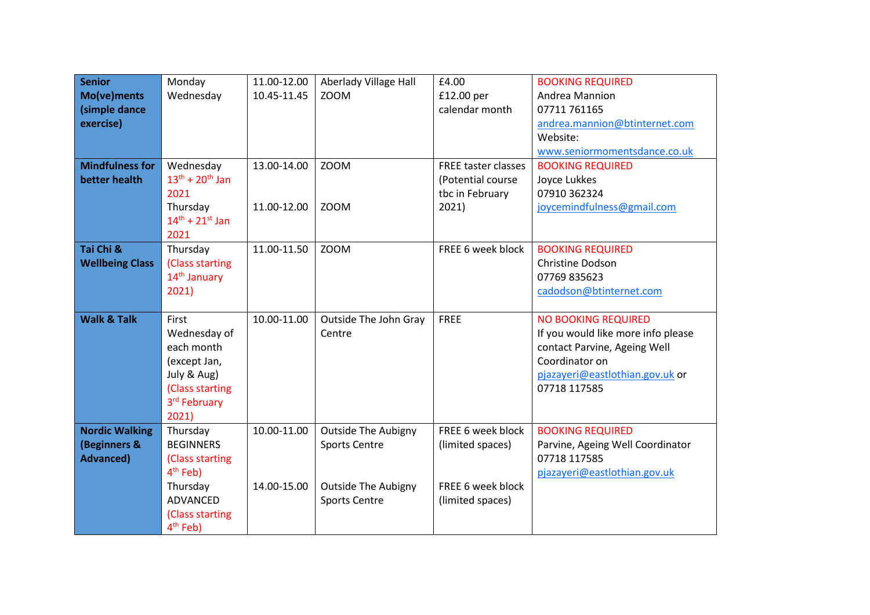| <b>Senior</b>          | Monday                    | 11.00-12.00 | Aberlady Village Hall      | £4.00                      | <b>BOOKING REQUIRED</b>            |
|------------------------|---------------------------|-------------|----------------------------|----------------------------|------------------------------------|
| Mo(ve)ments            | Wednesday                 | 10.45-11.45 | <b>ZOOM</b>                | £12.00 per                 | Andrea Mannion                     |
| (simple dance          |                           |             |                            | calendar month             | 07711 761165                       |
| exercise)              |                           |             |                            |                            | andrea.mannion@btinternet.com      |
|                        |                           |             |                            |                            | Website:                           |
|                        |                           |             |                            |                            | www.seniormomentsdance.co.uk       |
| <b>Mindfulness for</b> | Wednesday                 | 13.00-14.00 | <b>ZOOM</b>                | <b>FREE taster classes</b> | <b>BOOKING REQUIRED</b>            |
| better health          | $13^{th} + 20^{th}$ Jan   |             |                            | (Potential course          | Joyce Lukkes                       |
|                        | 2021                      |             |                            | tbc in February            | 07910 362324                       |
|                        | Thursday                  | 11.00-12.00 | <b>ZOOM</b>                | 2021)                      | joycemindfulness@gmail.com         |
|                        | $14^{th}$ + $21^{st}$ Jan |             |                            |                            |                                    |
|                        | 2021                      |             |                            |                            |                                    |
| Tai Chi &              | Thursday                  | 11.00-11.50 | <b>ZOOM</b>                | FREE 6 week block          | <b>BOOKING REQUIRED</b>            |
| <b>Wellbeing Class</b> | (Class starting           |             |                            |                            | Christine Dodson                   |
|                        | 14 <sup>th</sup> January  |             |                            |                            | 07769 835623                       |
|                        | 2021)                     |             |                            |                            | cadodson@btinternet.com            |
| <b>Walk &amp; Talk</b> | First                     | 10.00-11.00 | Outside The John Gray      | <b>FREE</b>                | <b>NO BOOKING REQUIRED</b>         |
|                        | Wednesday of              |             | Centre                     |                            | If you would like more info please |
|                        | each month                |             |                            |                            | contact Parvine, Ageing Well       |
|                        | (except Jan,              |             |                            |                            | Coordinator on                     |
|                        | July & Aug)               |             |                            |                            | pjazayeri@eastlothian.gov.uk or    |
|                        | (Class starting           |             |                            |                            | 07718 117585                       |
|                        | 3rd February              |             |                            |                            |                                    |
|                        | 2021)                     |             |                            |                            |                                    |
| <b>Nordic Walking</b>  | Thursday                  | 10.00-11.00 | <b>Outside The Aubigny</b> | FREE 6 week block          | <b>BOOKING REQUIRED</b>            |
| (Beginners &           | <b>BEGINNERS</b>          |             | <b>Sports Centre</b>       | (limited spaces)           | Parvine, Ageing Well Coordinator   |
| <b>Advanced)</b>       | (Class starting           |             |                            |                            | 07718 117585                       |
|                        | 4 <sup>th</sup> Feb)      |             |                            |                            | pjazayeri@eastlothian.gov.uk       |
|                        | Thursday                  | 14.00-15.00 | <b>Outside The Aubigny</b> | FREE 6 week block          |                                    |
|                        | ADVANCED                  |             | <b>Sports Centre</b>       | (limited spaces)           |                                    |
|                        | (Class starting           |             |                            |                            |                                    |
|                        | $4th$ Feb)                |             |                            |                            |                                    |